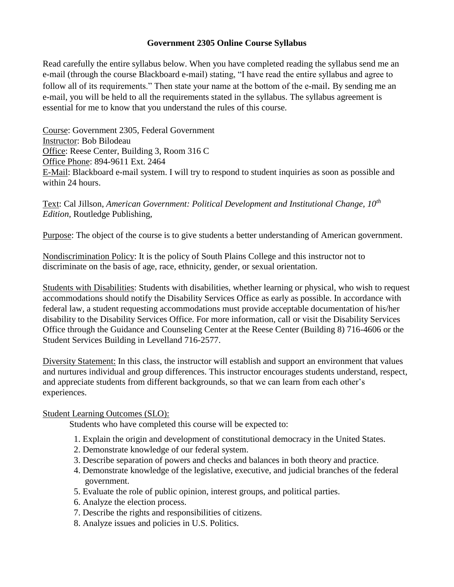### **Government 2305 Online Course Syllabus**

Read carefully the entire syllabus below. When you have completed reading the syllabus send me an e-mail (through the course Blackboard e-mail) stating, "I have read the entire syllabus and agree to follow all of its requirements." Then state your name at the bottom of the e-mail. By sending me an e-mail, you will be held to all the requirements stated in the syllabus. The syllabus agreement is essential for me to know that you understand the rules of this course.

Course: Government 2305, Federal Government Instructor: Bob Bilodeau Office: Reese Center, Building 3, Room 316 C Office Phone: 894-9611 Ext. 2464 E-Mail: Blackboard e-mail system. I will try to respond to student inquiries as soon as possible and within 24 hours.

Text: Cal Jillson, *American Government: Political Development and Institutional Change, 10th Edition,* Routledge Publishing,

Purpose: The object of the course is to give students a better understanding of American government.

Nondiscrimination Policy: It is the policy of South Plains College and this instructor not to discriminate on the basis of age, race, ethnicity, gender, or sexual orientation.

Students with Disabilities: Students with disabilities, whether learning or physical, who wish to request accommodations should notify the Disability Services Office as early as possible. In accordance with federal law, a student requesting accommodations must provide acceptable documentation of his/her disability to the Disability Services Office. For more information, call or visit the Disability Services Office through the Guidance and Counseling Center at the Reese Center (Building 8) 716-4606 or the Student Services Building in Levelland 716-2577.

Diversity Statement: In this class, the instructor will establish and support an environment that values and nurtures individual and group differences. This instructor encourages students understand, respect, and appreciate students from different backgrounds, so that we can learn from each other's experiences.

#### Student Learning Outcomes (SLO):

Students who have completed this course will be expected to:

- 1. Explain the origin and development of constitutional democracy in the United States.
- 2. Demonstrate knowledge of our federal system.
- 3. Describe separation of powers and checks and balances in both theory and practice.
- 4. Demonstrate knowledge of the legislative, executive, and judicial branches of the federal government.
- 5. Evaluate the role of public opinion, interest groups, and political parties.
- 6. Analyze the election process.
- 7. Describe the rights and responsibilities of citizens.
- 8. Analyze issues and policies in U.S. Politics.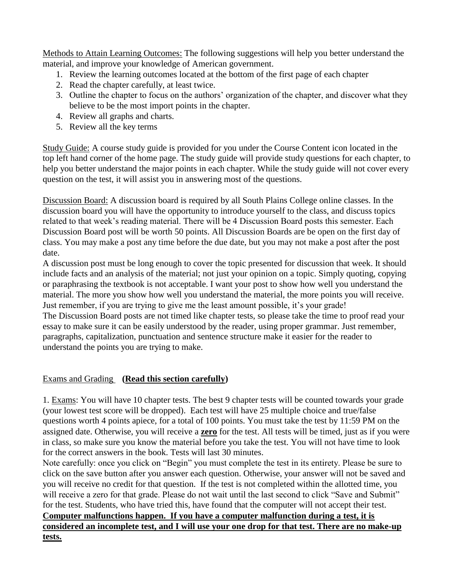Methods to Attain Learning Outcomes: The following suggestions will help you better understand the material, and improve your knowledge of American government.

- 1. Review the learning outcomes located at the bottom of the first page of each chapter
- 2. Read the chapter carefully, at least twice.
- 3. Outline the chapter to focus on the authors' organization of the chapter, and discover what they believe to be the most import points in the chapter.
- 4. Review all graphs and charts.
- 5. Review all the key terms

Study Guide: A course study guide is provided for you under the Course Content icon located in the top left hand corner of the home page. The study guide will provide study questions for each chapter, to help you better understand the major points in each chapter. While the study guide will not cover every question on the test, it will assist you in answering most of the questions.

Discussion Board: A discussion board is required by all South Plains College online classes. In the discussion board you will have the opportunity to introduce yourself to the class, and discuss topics related to that week's reading material. There will be 4 Discussion Board posts this semester. Each Discussion Board post will be worth 50 points. All Discussion Boards are be open on the first day of class. You may make a post any time before the due date, but you may not make a post after the post date.

A discussion post must be long enough to cover the topic presented for discussion that week. It should include facts and an analysis of the material; not just your opinion on a topic. Simply quoting, copying or paraphrasing the textbook is not acceptable. I want your post to show how well you understand the material. The more you show how well you understand the material, the more points you will receive. Just remember, if you are trying to give me the least amount possible, it's your grade!

The Discussion Board posts are not timed like chapter tests, so please take the time to proof read your essay to make sure it can be easily understood by the reader, using proper grammar. Just remember, paragraphs, capitalization, punctuation and sentence structure make it easier for the reader to understand the points you are trying to make.

## Exams and Grading **(Read this section carefully)**

1. Exams: You will have 10 chapter tests. The best 9 chapter tests will be counted towards your grade (your lowest test score will be dropped). Each test will have 25 multiple choice and true/false questions worth 4 points apiece, for a total of 100 points. You must take the test by 11:59 PM on the assigned date. Otherwise, you will receive a **zero** for the test. All tests will be timed, just as if you were in class, so make sure you know the material before you take the test. You will not have time to look for the correct answers in the book. Tests will last 30 minutes.

Note carefully: once you click on "Begin" you must complete the test in its entirety. Please be sure to click on the save button after you answer each question. Otherwise, your answer will not be saved and you will receive no credit for that question. If the test is not completed within the allotted time, you will receive a zero for that grade. Please do not wait until the last second to click "Save and Submit" for the test. Students, who have tried this, have found that the computer will not accept their test. **Computer malfunctions happen. If you have a computer malfunction during a test, it is** 

# **considered an incomplete test, and I will use your one drop for that test. There are no make-up tests.**